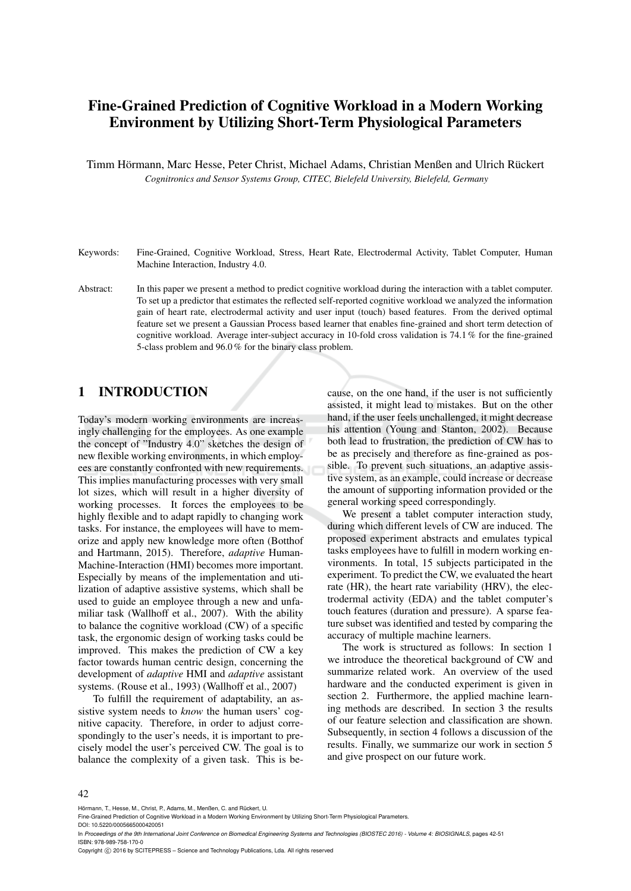# Fine-Grained Prediction of Cognitive Workload in a Modern Working Environment by Utilizing Short-Term Physiological Parameters

Timm Hörmann, Marc Hesse, Peter Christ, Michael Adams, Christian Menßen and Ulrich Rückert *Cognitronics and Sensor Systems Group, CITEC, Bielefeld University, Bielefeld, Germany*

- Keywords: Fine-Grained, Cognitive Workload, Stress, Heart Rate, Electrodermal Activity, Tablet Computer, Human Machine Interaction, Industry 4.0.
- Abstract: In this paper we present a method to predict cognitive workload during the interaction with a tablet computer. To set up a predictor that estimates the reflected self-reported cognitive workload we analyzed the information gain of heart rate, electrodermal activity and user input (touch) based features. From the derived optimal feature set we present a Gaussian Process based learner that enables fine-grained and short term detection of cognitive workload. Average inter-subject accuracy in 10-fold cross validation is 74.1 % for the fine-grained 5-class problem and 96.0 % for the binary class problem.

# 1 INTRODUCTION

Today's modern working environments are increasingly challenging for the employees. As one example the concept of "Industry 4.0" sketches the design of new flexible working environments, in which employees are constantly confronted with new requirements. This implies manufacturing processes with very small lot sizes, which will result in a higher diversity of working processes. It forces the employees to be highly flexible and to adapt rapidly to changing work tasks. For instance, the employees will have to memorize and apply new knowledge more often (Botthof and Hartmann, 2015). Therefore, *adaptive* Human-Machine-Interaction (HMI) becomes more important. Especially by means of the implementation and utilization of adaptive assistive systems, which shall be used to guide an employee through a new and unfamiliar task (Wallhoff et al., 2007). With the ability to balance the cognitive workload (CW) of a specific task, the ergonomic design of working tasks could be improved. This makes the prediction of CW a key factor towards human centric design, concerning the development of *adaptive* HMI and *adaptive* assistant systems. (Rouse et al., 1993) (Wallhoff et al., 2007)

To fulfill the requirement of adaptability, an assistive system needs to *know* the human users' cognitive capacity. Therefore, in order to adjust correspondingly to the user's needs, it is important to precisely model the user's perceived CW. The goal is to balance the complexity of a given task. This is because, on the one hand, if the user is not sufficiently assisted, it might lead to mistakes. But on the other hand, if the user feels unchallenged, it might decrease his attention (Young and Stanton, 2002). Because both lead to frustration, the prediction of CW has to be as precisely and therefore as fine-grained as possible. To prevent such situations, an adaptive assistive system, as an example, could increase or decrease the amount of supporting information provided or the general working speed correspondingly.

We present a tablet computer interaction study, during which different levels of CW are induced. The proposed experiment abstracts and emulates typical tasks employees have to fulfill in modern working environments. In total, 15 subjects participated in the experiment. To predict the CW, we evaluated the heart rate (HR), the heart rate variability (HRV), the electrodermal activity (EDA) and the tablet computer's touch features (duration and pressure). A sparse feature subset was identified and tested by comparing the accuracy of multiple machine learners.

The work is structured as follows: In section 1 we introduce the theoretical background of CW and summarize related work. An overview of the used hardware and the conducted experiment is given in section 2. Furthermore, the applied machine learning methods are described. In section 3 the results of our feature selection and classification are shown. Subsequently, in section 4 follows a discussion of the results. Finally, we summarize our work in section 5 and give prospect on our future work.

#### 42

Hörmann, T., Hesse, M., Christ, P., Adams, M., Menßen, C. and Rückert, U.

Fine-Grained Prediction of Cognitive Workload in a Modern Working Environment by Utilizing Short-Term Physiological Parameters. DOI: 10.5220/0005665000420051

In *Proceedings of the 9th International Joint Conference on Biomedical Engineering Systems and Technologies (BIOSTEC 2016) - Volume 4: BIOSIGNALS*, pages 42-51 ISBN: 978-989-758-170-0

Copyright © 2016 by SCITEPRESS - Science and Technology Publications, Lda. All rights reserved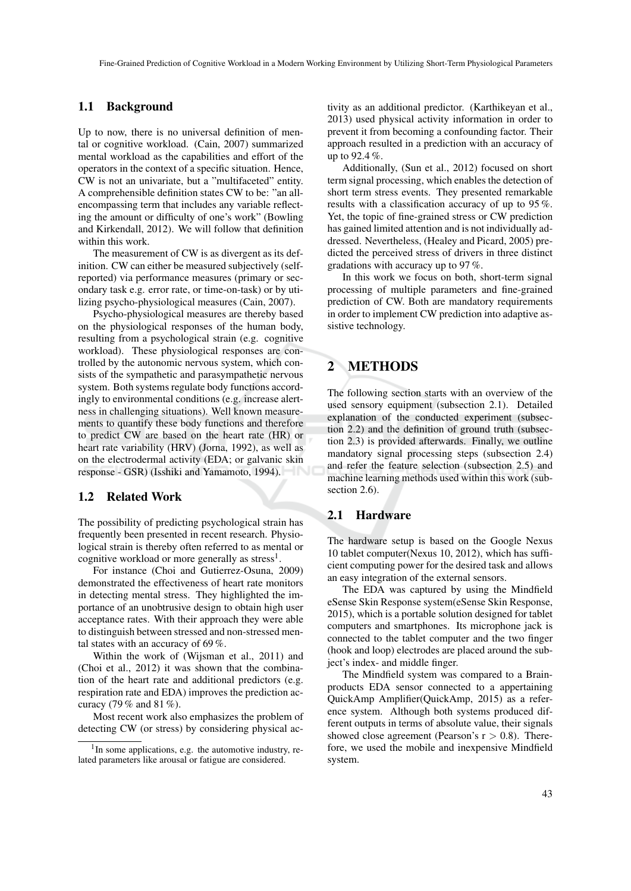## 1.1 Background

Up to now, there is no universal definition of mental or cognitive workload. (Cain, 2007) summarized mental workload as the capabilities and effort of the operators in the context of a specific situation. Hence, CW is not an univariate, but a "multifaceted" entity. A comprehensible definition states CW to be: "an allencompassing term that includes any variable reflecting the amount or difficulty of one's work" (Bowling and Kirkendall, 2012). We will follow that definition within this work.

The measurement of CW is as divergent as its definition. CW can either be measured subjectively (selfreported) via performance measures (primary or secondary task e.g. error rate, or time-on-task) or by utilizing psycho-physiological measures (Cain, 2007).

Psycho-physiological measures are thereby based on the physiological responses of the human body, resulting from a psychological strain (e.g. cognitive workload). These physiological responses are controlled by the autonomic nervous system, which consists of the sympathetic and parasympathetic nervous system. Both systems regulate body functions accordingly to environmental conditions (e.g. increase alertness in challenging situations). Well known measurements to quantify these body functions and therefore to predict CW are based on the heart rate (HR) or heart rate variability (HRV) (Jorna, 1992), as well as on the electrodermal activity (EDA; or galvanic skin response - GSR) (Isshiki and Yamamoto, 1994).

#### 1.2 Related Work

The possibility of predicting psychological strain has frequently been presented in recent research. Physiological strain is thereby often referred to as mental or cognitive workload or more generally as stress<sup>1</sup>.

For instance (Choi and Gutierrez-Osuna, 2009) demonstrated the effectiveness of heart rate monitors in detecting mental stress. They highlighted the importance of an unobtrusive design to obtain high user acceptance rates. With their approach they were able to distinguish between stressed and non-stressed mental states with an accuracy of 69 %.

Within the work of (Wijsman et al., 2011) and (Choi et al., 2012) it was shown that the combination of the heart rate and additional predictors (e.g. respiration rate and EDA) improves the prediction accuracy (79 % and 81 %).

Most recent work also emphasizes the problem of detecting CW (or stress) by considering physical ac-

tivity as an additional predictor. (Karthikeyan et al., 2013) used physical activity information in order to prevent it from becoming a confounding factor. Their approach resulted in a prediction with an accuracy of up to 92.4 %.

Additionally, (Sun et al., 2012) focused on short term signal processing, which enables the detection of short term stress events. They presented remarkable results with a classification accuracy of up to 95 %. Yet, the topic of fine-grained stress or CW prediction has gained limited attention and is not individually addressed. Nevertheless, (Healey and Picard, 2005) predicted the perceived stress of drivers in three distinct gradations with accuracy up to 97 %.

In this work we focus on both, short-term signal processing of multiple parameters and fine-grained prediction of CW. Both are mandatory requirements in order to implement CW prediction into adaptive assistive technology.

# 2 METHODS

The following section starts with an overview of the used sensory equipment (subsection 2.1). Detailed explanation of the conducted experiment (subsection 2.2) and the definition of ground truth (subsection 2.3) is provided afterwards. Finally, we outline mandatory signal processing steps (subsection 2.4) and refer the feature selection (subsection 2.5) and machine learning methods used within this work (subsection 2.6).

## 2.1 Hardware

The hardware setup is based on the Google Nexus 10 tablet computer(Nexus 10, 2012), which has sufficient computing power for the desired task and allows an easy integration of the external sensors.

The EDA was captured by using the Mindfield eSense Skin Response system(eSense Skin Response, 2015), which is a portable solution designed for tablet computers and smartphones. Its microphone jack is connected to the tablet computer and the two finger (hook and loop) electrodes are placed around the subject's index- and middle finger.

The Mindfield system was compared to a Brainproducts EDA sensor connected to a appertaining QuickAmp Amplifier(QuickAmp, 2015) as a reference system. Although both systems produced different outputs in terms of absolute value, their signals showed close agreement (Pearson's  $r > 0.8$ ). Therefore, we used the mobile and inexpensive Mindfield system.

<sup>&</sup>lt;sup>1</sup>In some applications, e.g. the automotive industry, related parameters like arousal or fatigue are considered.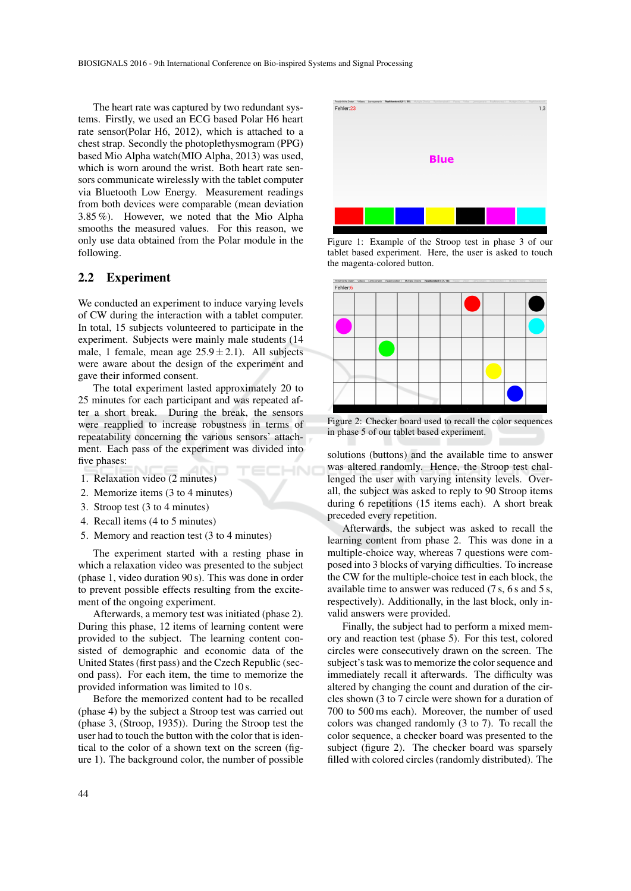The heart rate was captured by two redundant systems. Firstly, we used an ECG based Polar H6 heart rate sensor(Polar H6, 2012), which is attached to a chest strap. Secondly the photoplethysmogram (PPG) based Mio Alpha watch(MIO Alpha, 2013) was used, which is worn around the wrist. Both heart rate sensors communicate wirelessly with the tablet computer via Bluetooth Low Energy. Measurement readings from both devices were comparable (mean deviation 3.85 %). However, we noted that the Mio Alpha smooths the measured values. For this reason, we only use data obtained from the Polar module in the following.

### 2.2 Experiment

We conducted an experiment to induce varying levels of CW during the interaction with a tablet computer. In total, 15 subjects volunteered to participate in the experiment. Subjects were mainly male students (14 male, 1 female, mean age  $25.9 \pm 2.1$ ). All subjects were aware about the design of the experiment and gave their informed consent.

The total experiment lasted approximately 20 to 25 minutes for each participant and was repeated after a short break. During the break, the sensors were reapplied to increase robustness in terms of repeatability concerning the various sensors' attachment. Each pass of the experiment was divided into five phases:

- 1. Relaxation video (2 minutes)
- 2. Memorize items (3 to 4 minutes)
- 3. Stroop test (3 to 4 minutes)
- 4. Recall items (4 to 5 minutes)
- 5. Memory and reaction test (3 to 4 minutes)

The experiment started with a resting phase in which a relaxation video was presented to the subject (phase 1, video duration 90 s). This was done in order to prevent possible effects resulting from the excitement of the ongoing experiment.

Afterwards, a memory test was initiated (phase 2). During this phase, 12 items of learning content were provided to the subject. The learning content consisted of demographic and economic data of the United States (first pass) and the Czech Republic (second pass). For each item, the time to memorize the provided information was limited to 10 s.

Before the memorized content had to be recalled (phase 4) by the subject a Stroop test was carried out (phase 3, (Stroop, 1935)). During the Stroop test the user had to touch the button with the color that is identical to the color of a shown text on the screen (figure 1). The background color, the number of possible



Figure 1: Example of the Stroop test in phase 3 of our tablet based experiment. Here, the user is asked to touch the magenta-colored button.



Figure 2: Checker board used to recall the color sequences in phase 5 of our tablet based experiment.

solutions (buttons) and the available time to answer was altered randomly. Hence, the Stroop test challenged the user with varying intensity levels. Overall, the subject was asked to reply to 90 Stroop items during 6 repetitions (15 items each). A short break preceded every repetition.

Afterwards, the subject was asked to recall the learning content from phase 2. This was done in a multiple-choice way, whereas 7 questions were composed into 3 blocks of varying difficulties. To increase the CW for the multiple-choice test in each block, the available time to answer was reduced (7 s, 6 s and 5 s, respectively). Additionally, in the last block, only invalid answers were provided.

Finally, the subject had to perform a mixed memory and reaction test (phase 5). For this test, colored circles were consecutively drawn on the screen. The subject's task was to memorize the color sequence and immediately recall it afterwards. The difficulty was altered by changing the count and duration of the circles shown (3 to 7 circle were shown for a duration of 700 to 500 ms each). Moreover, the number of used colors was changed randomly (3 to 7). To recall the color sequence, a checker board was presented to the subject (figure 2). The checker board was sparsely filled with colored circles (randomly distributed). The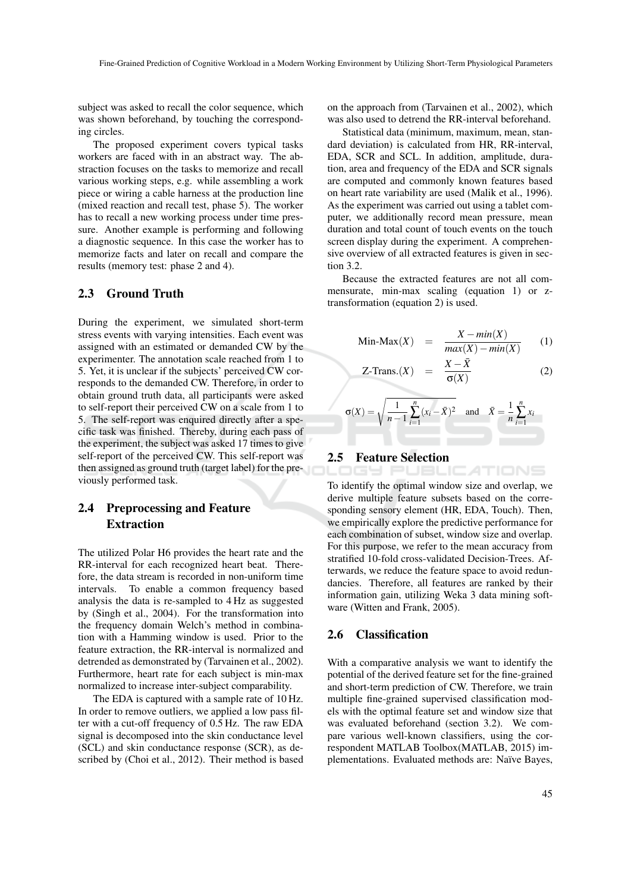subject was asked to recall the color sequence, which was shown beforehand, by touching the corresponding circles.

The proposed experiment covers typical tasks workers are faced with in an abstract way. The abstraction focuses on the tasks to memorize and recall various working steps, e.g. while assembling a work piece or wiring a cable harness at the production line (mixed reaction and recall test, phase 5). The worker has to recall a new working process under time pressure. Another example is performing and following a diagnostic sequence. In this case the worker has to memorize facts and later on recall and compare the results (memory test: phase 2 and 4).

## 2.3 Ground Truth

During the experiment, we simulated short-term stress events with varying intensities. Each event was assigned with an estimated or demanded CW by the experimenter. The annotation scale reached from 1 to 5. Yet, it is unclear if the subjects' perceived CW corresponds to the demanded CW. Therefore, in order to obtain ground truth data, all participants were asked to self-report their perceived CW on a scale from 1 to 5. The self-report was enquired directly after a specific task was finished. Thereby, during each pass of the experiment, the subject was asked 17 times to give self-report of the perceived CW. This self-report was then assigned as ground truth (target label) for the previously performed task.

# 2.4 Preprocessing and Feature Extraction

The utilized Polar H6 provides the heart rate and the RR-interval for each recognized heart beat. Therefore, the data stream is recorded in non-uniform time intervals. To enable a common frequency based analysis the data is re-sampled to 4 Hz as suggested by (Singh et al., 2004). For the transformation into the frequency domain Welch's method in combination with a Hamming window is used. Prior to the feature extraction, the RR-interval is normalized and detrended as demonstrated by (Tarvainen et al., 2002). Furthermore, heart rate for each subject is min-max normalized to increase inter-subject comparability.

The EDA is captured with a sample rate of 10 Hz. In order to remove outliers, we applied a low pass filter with a cut-off frequency of 0.5 Hz. The raw EDA signal is decomposed into the skin conductance level (SCL) and skin conductance response (SCR), as described by (Choi et al., 2012). Their method is based on the approach from (Tarvainen et al., 2002), which was also used to detrend the RR-interval beforehand.

Statistical data (minimum, maximum, mean, standard deviation) is calculated from HR, RR-interval, EDA, SCR and SCL. In addition, amplitude, duration, area and frequency of the EDA and SCR signals are computed and commonly known features based on heart rate variability are used (Malik et al., 1996). As the experiment was carried out using a tablet computer, we additionally record mean pressure, mean duration and total count of touch events on the touch screen display during the experiment. A comprehensive overview of all extracted features is given in section 3.2.

Because the extracted features are not all commensurate, min-max scaling (equation 1) or ztransformation (equation 2) is used.

$$
\text{Min-Max}(X) = \frac{X - \min(X)}{\max(X) - \min(X)} \qquad (1)
$$

$$
Z-Trans.(X) = \frac{X - \bar{X}}{\sigma(X)}
$$
 (2)

$$
\sigma(X) = \sqrt{\frac{1}{n-1} \sum_{i=1}^{n} (x_i - \bar{X})^2}
$$
 and  $\bar{X} = \frac{1}{n} \sum_{i=1}^{n} x_i$ 

# 2.5 Feature Selection<br>LOCER DELICTATIONS

To identify the optimal window size and overlap, we derive multiple feature subsets based on the corresponding sensory element (HR, EDA, Touch). Then, we empirically explore the predictive performance for each combination of subset, window size and overlap. For this purpose, we refer to the mean accuracy from stratified 10-fold cross-validated Decision-Trees. Afterwards, we reduce the feature space to avoid redundancies. Therefore, all features are ranked by their information gain, utilizing Weka 3 data mining software (Witten and Frank, 2005).

#### 2.6 Classification

With a comparative analysis we want to identify the potential of the derived feature set for the fine-grained and short-term prediction of CW. Therefore, we train multiple fine-grained supervised classification models with the optimal feature set and window size that was evaluated beforehand (section 3.2). We compare various well-known classifiers, using the correspondent MATLAB Toolbox(MATLAB, 2015) implementations. Evaluated methods are: Naïve Bayes,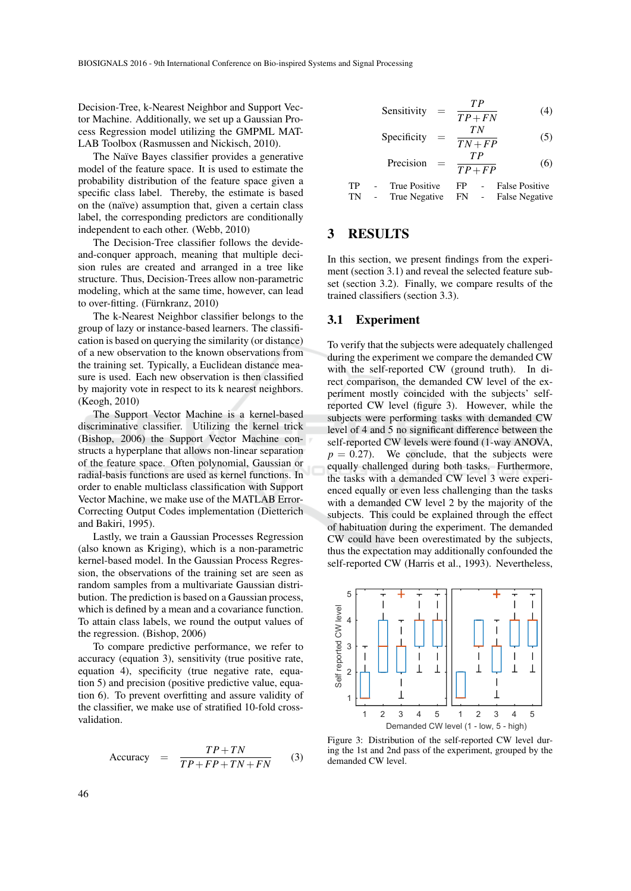Decision-Tree, k-Nearest Neighbor and Support Vector Machine. Additionally, we set up a Gaussian Process Regression model utilizing the GMPML MAT-LAB Toolbox (Rasmussen and Nickisch, 2010).

The Naïve Bayes classifier provides a generative model of the feature space. It is used to estimate the probability distribution of the feature space given a specific class label. Thereby, the estimate is based on the (naïve) assumption that, given a certain class label, the corresponding predictors are conditionally independent to each other. (Webb, 2010)

The Decision-Tree classifier follows the devideand-conquer approach, meaning that multiple decision rules are created and arranged in a tree like structure. Thus, Decision-Trees allow non-parametric modeling, which at the same time, however, can lead to over-fitting. (Fürnkranz, 2010)

The k-Nearest Neighbor classifier belongs to the group of lazy or instance-based learners. The classification is based on querying the similarity (or distance) of a new observation to the known observations from the training set. Typically, a Euclidean distance measure is used. Each new observation is then classified by majority vote in respect to its k nearest neighbors. (Keogh, 2010)

The Support Vector Machine is a kernel-based discriminative classifier. Utilizing the kernel trick (Bishop, 2006) the Support Vector Machine constructs a hyperplane that allows non-linear separation of the feature space. Often polynomial, Gaussian or radial-basis functions are used as kernel functions. In order to enable multiclass classification with Support Vector Machine, we make use of the MATLAB Error-Correcting Output Codes implementation (Dietterich and Bakiri, 1995).

Lastly, we train a Gaussian Processes Regression (also known as Kriging), which is a non-parametric kernel-based model. In the Gaussian Process Regression, the observations of the training set are seen as random samples from a multivariate Gaussian distribution. The prediction is based on a Gaussian process, which is defined by a mean and a covariance function. To attain class labels, we round the output values of the regression. (Bishop, 2006)

To compare predictive performance, we refer to accuracy (equation 3), sensitivity (true positive rate, equation 4), specificity (true negative rate, equation 5) and precision (positive predictive value, equation 6). To prevent overfitting and assure validity of the classifier, we make use of stratified 10-fold crossvalidation.

$$
Accuracy = \frac{TP + TN}{TP + FP + TN + FN} \qquad (3)
$$

Sensitivity = 
$$
\frac{TP}{TP + FN}
$$
 (4)

$$
Specificity = \frac{TN}{TN + FP}
$$
 (5)

$$
\text{Precision} = \frac{TP}{TP + FP} \tag{6}
$$

TP - True Positive FP - False Positive TN - True Negative FN - False Negative

## 3 RESULTS

In this section, we present findings from the experiment (section 3.1) and reveal the selected feature subset (section 3.2). Finally, we compare results of the trained classifiers (section 3.3).

#### 3.1 Experiment

To verify that the subjects were adequately challenged during the experiment we compare the demanded CW with the self-reported CW (ground truth). In direct comparison, the demanded CW level of the experiment mostly coincided with the subjects' selfreported CW level (figure 3). However, while the subjects were performing tasks with demanded CW level of 4 and 5 no significant difference between the self-reported CW levels were found (1-way ANOVA,  $p = 0.27$ . We conclude, that the subjects were equally challenged during both tasks. Furthermore, the tasks with a demanded CW level 3 were experienced equally or even less challenging than the tasks with a demanded CW level 2 by the majority of the subjects. This could be explained through the effect of habituation during the experiment. The demanded CW could have been overestimated by the subjects, thus the expectation may additionally confounded the self-reported CW (Harris et al., 1993). Nevertheless,



Figure 3: Distribution of the self-reported CW level during the 1st and 2nd pass of the experiment, grouped by the demanded CW level.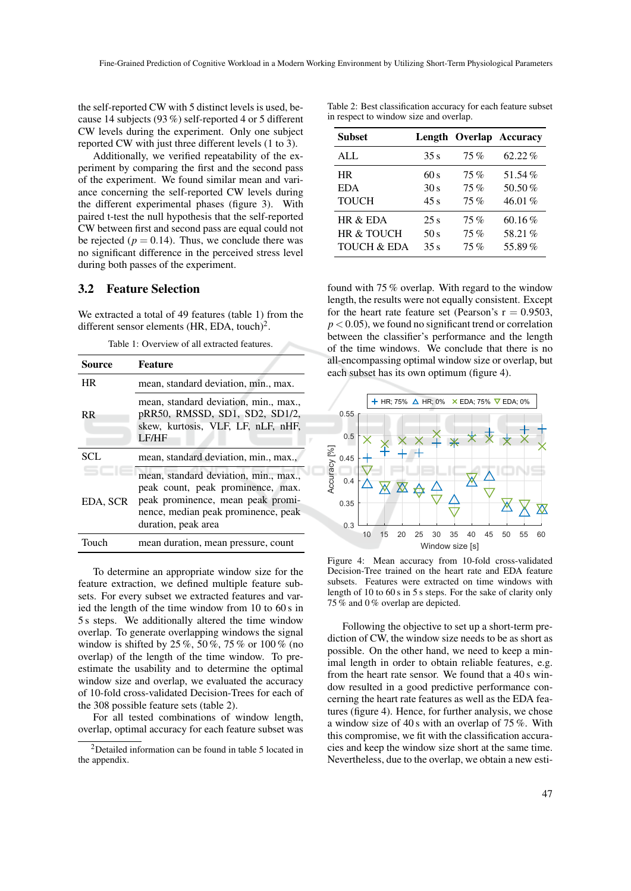the self-reported CW with 5 distinct levels is used, because 14 subjects (93 %) self-reported 4 or 5 different CW levels during the experiment. Only one subject reported CW with just three different levels (1 to 3).

Additionally, we verified repeatability of the experiment by comparing the first and the second pass of the experiment. We found similar mean and variance concerning the self-reported CW levels during the different experimental phases (figure 3). With paired t-test the null hypothesis that the self-reported CW between first and second pass are equal could not be rejected ( $p = 0.14$ ). Thus, we conclude there was no significant difference in the perceived stress level during both passes of the experiment.

#### 3.2 Feature Selection

We extracted a total of 49 features (table 1) from the different sensor elements  $(HR, EDA, touch)^2$ .

| Source    | <b>Feature</b>                                                                                                                                                                |  |  |
|-----------|-------------------------------------------------------------------------------------------------------------------------------------------------------------------------------|--|--|
| <b>HR</b> | mean, standard deviation, min., max.                                                                                                                                          |  |  |
| <b>RR</b> | mean, standard deviation, min., max.,<br>pRR50, RMSSD, SD1, SD2, SD1/2,<br>skew, kurtosis, VLF, LF, nLF, nHF,<br><b>LF/HF</b>                                                 |  |  |
| SCL.      | mean, standard deviation, min., max.,                                                                                                                                         |  |  |
| EDA, SCR  | mean, standard deviation, min., max.,<br>peak count, peak prominence, max.<br>peak prominence, mean peak promi-<br>nence, median peak prominence, peak<br>duration, peak area |  |  |
| Touch     | mean duration, mean pressure, count                                                                                                                                           |  |  |

Table 1: Overview of all extracted features.

To determine an appropriate window size for the feature extraction, we defined multiple feature subsets. For every subset we extracted features and varied the length of the time window from 10 to 60 s in 5 s steps. We additionally altered the time window overlap. To generate overlapping windows the signal window is shifted by 25 %, 50 %, 75 % or 100 % (no overlap) of the length of the time window. To preestimate the usability and to determine the optimal window size and overlap, we evaluated the accuracy of 10-fold cross-validated Decision-Trees for each of the 308 possible feature sets (table 2).

For all tested combinations of window length, overlap, optimal accuracy for each feature subset was

Table 2: Best classification accuracy for each feature subset in respect to window size and overlap.

| 35s  | 75%        | $62.22\%$                             |
|------|------------|---------------------------------------|
| 60s  | 75%        | 51.54%                                |
| 45s  | 75%        | 50.50%<br>46.01%                      |
| 25s  | $75\%$     | $60.16\%$                             |
| 50 s | 75%        | 58.21%<br>55.89%                      |
|      | 30s<br>35s | Length Overlap Accuracy<br>75%<br>75% |

found with 75 % overlap. With regard to the window length, the results were not equally consistent. Except for the heart rate feature set (Pearson's  $r = 0.9503$ ,  $p < 0.05$ ), we found no significant trend or correlation between the classifier's performance and the length of the time windows. We conclude that there is no all-encompassing optimal window size or overlap, but each subset has its own optimum (figure 4).



Figure 4: Mean accuracy from 10-fold cross-validated Decision-Tree trained on the heart rate and EDA feature subsets. Features were extracted on time windows with length of 10 to 60 s in 5 s steps. For the sake of clarity only 75 % and 0 % overlap are depicted.

Following the objective to set up a short-term prediction of CW, the window size needs to be as short as possible. On the other hand, we need to keep a minimal length in order to obtain reliable features, e.g. from the heart rate sensor. We found that a 40 s window resulted in a good predictive performance concerning the heart rate features as well as the EDA features (figure 4). Hence, for further analysis, we chose a window size of 40 s with an overlap of 75 %. With this compromise, we fit with the classification accuracies and keep the window size short at the same time. Nevertheless, due to the overlap, we obtain a new esti-

<sup>2</sup>Detailed information can be found in table 5 located in the appendix.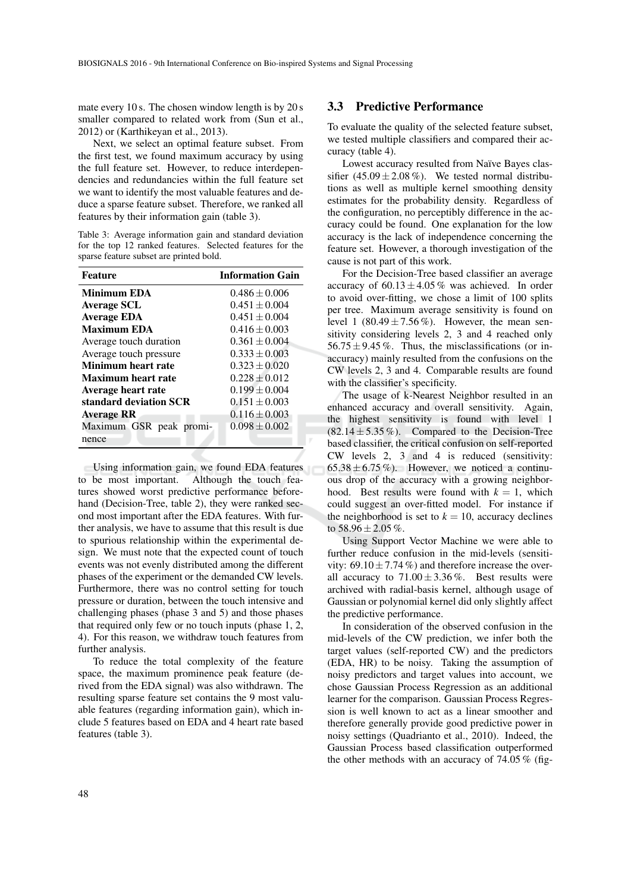mate every 10 s. The chosen window length is by 20 s smaller compared to related work from (Sun et al., 2012) or (Karthikeyan et al., 2013).

Next, we select an optimal feature subset. From the first test, we found maximum accuracy by using the full feature set. However, to reduce interdependencies and redundancies within the full feature set we want to identify the most valuable features and deduce a sparse feature subset. Therefore, we ranked all features by their information gain (table 3).

Table 3: Average information gain and standard deviation for the top 12 ranked features. Selected features for the sparse feature subset are printed bold.

| Feature                   | <b>Information Gain</b> |
|---------------------------|-------------------------|
| Minimum EDA               | $0.486 \pm 0.006$       |
| <b>Average SCL</b>        | $0.451 \pm 0.004$       |
| <b>Average EDA</b>        | $0.451 \pm 0.004$       |
| <b>Maximum EDA</b>        | $0.416 \pm 0.003$       |
| Average touch duration    | $0.361 \pm 0.004$       |
| Average touch pressure    | $0.333 \pm 0.003$       |
| Minimum heart rate        | $0.323 \pm 0.020$       |
| Maximum heart rate        | $0.228 \pm 0.012$       |
| <b>Average heart rate</b> | $0.199 \pm 0.004$       |
| standard deviation SCR    | $0.151 \pm 0.003$       |
| <b>Average RR</b>         | $0.116 \pm 0.003$       |
| Maximum GSR peak promi-   | $0.098 \pm 0.002$       |
| nence                     |                         |

Using information gain, we found EDA features to be most important. Although the touch features showed worst predictive performance beforehand (Decision-Tree, table 2), they were ranked second most important after the EDA features. With further analysis, we have to assume that this result is due to spurious relationship within the experimental design. We must note that the expected count of touch events was not evenly distributed among the different phases of the experiment or the demanded CW levels. Furthermore, there was no control setting for touch pressure or duration, between the touch intensive and challenging phases (phase 3 and 5) and those phases that required only few or no touch inputs (phase 1, 2, 4). For this reason, we withdraw touch features from further analysis.

To reduce the total complexity of the feature space, the maximum prominence peak feature (derived from the EDA signal) was also withdrawn. The resulting sparse feature set contains the 9 most valuable features (regarding information gain), which include 5 features based on EDA and 4 heart rate based features (table 3).

#### 3.3 Predictive Performance

To evaluate the quality of the selected feature subset, we tested multiple classifiers and compared their accuracy (table 4).

Lowest accuracy resulted from Naïve Bayes classifier  $(45.09 \pm 2.08 \%)$ . We tested normal distributions as well as multiple kernel smoothing density estimates for the probability density. Regardless of the configuration, no perceptibly difference in the accuracy could be found. One explanation for the low accuracy is the lack of independence concerning the feature set. However, a thorough investigation of the cause is not part of this work.

For the Decision-Tree based classifier an average accuracy of  $60.13 \pm 4.05\%$  was achieved. In order to avoid over-fitting, we chose a limit of 100 splits per tree. Maximum average sensitivity is found on level 1 (80.49 $\pm$ 7.56%). However, the mean sensitivity considering levels 2, 3 and 4 reached only  $56.75 \pm 9.45\%$ . Thus, the misclassifications (or inaccuracy) mainly resulted from the confusions on the CW levels 2, 3 and 4. Comparable results are found with the classifier's specificity.

The usage of k-Nearest Neighbor resulted in an enhanced accuracy and overall sensitivity. Again, the highest sensitivity is found with level 1  $(82.14 \pm 5.35 \%)$ . Compared to the Decision-Tree based classifier, the critical confusion on self-reported CW levels 2, 3 and 4 is reduced (sensitivity:  $65.38 \pm 6.75\%$ ). However, we noticed a continuous drop of the accuracy with a growing neighborhood. Best results were found with  $k = 1$ , which could suggest an over-fitted model. For instance if the neighborhood is set to  $k = 10$ , accuracy declines to  $58.96 \pm 2.05 \%$ .

Using Support Vector Machine we were able to further reduce confusion in the mid-levels (sensitivity:  $69.10 \pm 7.74$  %) and therefore increase the overall accuracy to  $71.00 \pm 3.36\%$ . Best results were archived with radial-basis kernel, although usage of Gaussian or polynomial kernel did only slightly affect the predictive performance.

In consideration of the observed confusion in the mid-levels of the CW prediction, we infer both the target values (self-reported CW) and the predictors (EDA, HR) to be noisy. Taking the assumption of noisy predictors and target values into account, we chose Gaussian Process Regression as an additional learner for the comparison. Gaussian Process Regression is well known to act as a linear smoother and therefore generally provide good predictive power in noisy settings (Quadrianto et al., 2010). Indeed, the Gaussian Process based classification outperformed the other methods with an accuracy of 74.05 % (fig-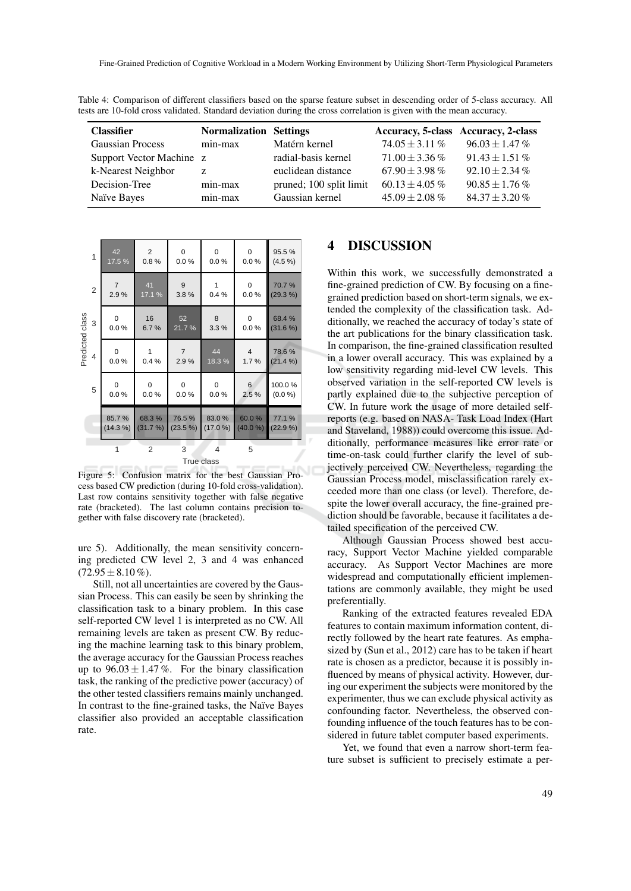Table 4: Comparison of different classifiers based on the sparse feature subset in descending order of 5-class accuracy. All tests are 10-fold cross validated. Standard deviation during the cross correlation is given with the mean accuracy.

| <b>Classifier</b>        | <b>Normalization Settings</b> |                         | Accuracy, 5-class Accuracy, 2-class |                     |
|--------------------------|-------------------------------|-------------------------|-------------------------------------|---------------------|
| <b>Gaussian Process</b>  | min-max                       | Matérn kernel           | $74.05 \pm 3.11\%$                  | $96.03 \pm 1.47\%$  |
| Support Vector Machine z |                               | radial-basis kernel     | $71.00 + 3.36\%$                    | $91.43 \pm 1.51\%$  |
| k-Nearest Neighbor       | Z                             | euclidean distance      | $67.90 \pm 3.98\%$                  | $92.10 \pm 2.34 \%$ |
| Decision-Tree            | min-max                       | pruned; 100 split limit | $60.13 \pm 4.05\%$                  | $90.85 \pm 1.76\%$  |
| Naïve Bayes              | min-max                       | Gaussian kernel         | $45.09 \pm 2.08 \%$                 | $84.37 \pm 3.20 \%$ |

| $\overline{1}$  | 42                                                       | 2       | 0              | 0        | 0              | 95.5%      |
|-----------------|----------------------------------------------------------|---------|----------------|----------|----------------|------------|
|                 | 17.5 %                                                   | 0.8%    | 0.0 %          | 0.0%     | 0.0%           | (4.5 %)    |
| $\overline{2}$  | $\overline{7}$                                           | 41      | 9              | 1        | 0              | 70.7%      |
|                 | 2.9%                                                     | 17.1 %  | 3.8%           | 0.4%     | 0.0%           | $(29.3\%)$ |
| Predicted class | 0                                                        | 16      | 52             | 8        | $\mathbf 0$    | 68.4%      |
| 3               | $0.0 \%$                                                 | 6.7%    | 21.7%          | 3.3%     | 0.0 %          | $(31.6\%)$ |
| 4               | 0                                                        | 1       | $\overline{7}$ | 44       | $\overline{4}$ | 78.6%      |
|                 | 0.0 %                                                    | 0.4%    | 2.9%           | 18.3%    | 1.7%           | $(21.4\%)$ |
| 5               | 0                                                        | 0       | 0              | 0        | 6              | 100.0%     |
|                 | 0.0 %                                                    | 0.0%    | 0.0%           | 0.0%     | 2.5%           | (0.0 %)    |
|                 | 85.7%                                                    | 68.3%   | 76.5%          | 83.0%    | 60.0%          | 77.1%      |
|                 | $(14.3\%)$                                               | (31.7%) | $(23.5\%)$     | (17.0 %) | (40.0 %)       | $(22.9\%)$ |
|                 | $\overline{2}$<br>3<br>5<br>$\overline{4}$<br>True class |         |                |          |                |            |

Figure 5: Confusion matrix for the best Gaussian Process based CW prediction (during 10-fold cross-validation). Last row contains sensitivity together with false negative rate (bracketed). The last column contains precision together with false discovery rate (bracketed).

ure 5). Additionally, the mean sensitivity concerning predicted CW level 2, 3 and 4 was enhanced  $(72.95 \pm 8.10 \%)$ .

Still, not all uncertainties are covered by the Gaussian Process. This can easily be seen by shrinking the classification task to a binary problem. In this case self-reported CW level 1 is interpreted as no CW. All remaining levels are taken as present CW. By reducing the machine learning task to this binary problem, the average accuracy for the Gaussian Process reaches up to  $96.03 \pm 1.47$ %. For the binary classification task, the ranking of the predictive power (accuracy) of the other tested classifiers remains mainly unchanged. In contrast to the fine-grained tasks, the Naïve Bayes classifier also provided an acceptable classification rate.

## 4 DISCUSSION

Within this work, we successfully demonstrated a fine-grained prediction of CW. By focusing on a finegrained prediction based on short-term signals, we extended the complexity of the classification task. Additionally, we reached the accuracy of today's state of the art publications for the binary classification task. In comparison, the fine-grained classification resulted in a lower overall accuracy. This was explained by a low sensitivity regarding mid-level CW levels. This observed variation in the self-reported CW levels is partly explained due to the subjective perception of CW. In future work the usage of more detailed selfreports (e.g. based on NASA- Task Load Index (Hart and Staveland, 1988)) could overcome this issue. Additionally, performance measures like error rate or time-on-task could further clarify the level of subjectively perceived CW. Nevertheless, regarding the Gaussian Process model, misclassification rarely exceeded more than one class (or level). Therefore, despite the lower overall accuracy, the fine-grained prediction should be favorable, because it facilitates a detailed specification of the perceived CW.

Although Gaussian Process showed best accuracy, Support Vector Machine yielded comparable accuracy. As Support Vector Machines are more widespread and computationally efficient implementations are commonly available, they might be used preferentially.

Ranking of the extracted features revealed EDA features to contain maximum information content, directly followed by the heart rate features. As emphasized by (Sun et al., 2012) care has to be taken if heart rate is chosen as a predictor, because it is possibly influenced by means of physical activity. However, during our experiment the subjects were monitored by the experimenter, thus we can exclude physical activity as confounding factor. Nevertheless, the observed confounding influence of the touch features has to be considered in future tablet computer based experiments.

Yet, we found that even a narrow short-term feature subset is sufficient to precisely estimate a per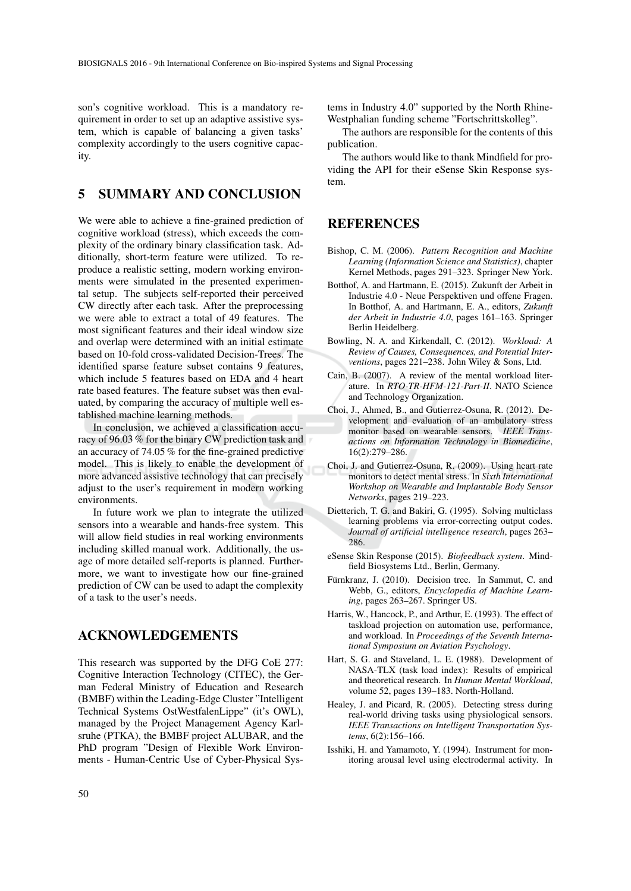son's cognitive workload. This is a mandatory requirement in order to set up an adaptive assistive system, which is capable of balancing a given tasks' complexity accordingly to the users cognitive capacity.

# 5 SUMMARY AND CONCLUSION

We were able to achieve a fine-grained prediction of cognitive workload (stress), which exceeds the complexity of the ordinary binary classification task. Additionally, short-term feature were utilized. To reproduce a realistic setting, modern working environments were simulated in the presented experimental setup. The subjects self-reported their perceived CW directly after each task. After the preprocessing we were able to extract a total of 49 features. The most significant features and their ideal window size and overlap were determined with an initial estimate based on 10-fold cross-validated Decision-Trees. The identified sparse feature subset contains 9 features, which include 5 features based on EDA and 4 heart rate based features. The feature subset was then evaluated, by comparing the accuracy of multiple well established machine learning methods.

In conclusion, we achieved a classification accuracy of 96.03 % for the binary CW prediction task and an accuracy of 74.05 % for the fine-grained predictive model. This is likely to enable the development of more advanced assistive technology that can precisely adjust to the user's requirement in modern working environments.

In future work we plan to integrate the utilized sensors into a wearable and hands-free system. This will allow field studies in real working environments including skilled manual work. Additionally, the usage of more detailed self-reports is planned. Furthermore, we want to investigate how our fine-grained prediction of CW can be used to adapt the complexity of a task to the user's needs.

## ACKNOWLEDGEMENTS

This research was supported by the DFG CoE 277: Cognitive Interaction Technology (CITEC), the German Federal Ministry of Education and Research (BMBF) within the Leading-Edge Cluster "Intelligent Technical Systems OstWestfalenLippe" (it's OWL), managed by the Project Management Agency Karlsruhe (PTKA), the BMBF project ALUBAR, and the PhD program "Design of Flexible Work Environments - Human-Centric Use of Cyber-Physical Systems in Industry 4.0" supported by the North Rhine-Westphalian funding scheme "Fortschrittskolleg".

The authors are responsible for the contents of this publication.

The authors would like to thank Mindfield for providing the API for their eSense Skin Response system.

## REFERENCES

- Bishop, C. M. (2006). *Pattern Recognition and Machine Learning (Information Science and Statistics)*, chapter Kernel Methods, pages 291–323. Springer New York.
- Botthof, A. and Hartmann, E. (2015). Zukunft der Arbeit in Industrie 4.0 - Neue Perspektiven und offene Fragen. In Botthof, A. and Hartmann, E. A., editors, *Zukunft der Arbeit in Industrie 4.0*, pages 161–163. Springer Berlin Heidelberg.
- Bowling, N. A. and Kirkendall, C. (2012). *Workload: A Review of Causes, Consequences, and Potential Interventions*, pages 221–238. John Wiley & Sons, Ltd.
- Cain, B. (2007). A review of the mental workload literature. In *RTO-TR-HFM-121-Part-II*. NATO Science and Technology Organization.
- Choi, J., Ahmed, B., and Gutierrez-Osuna, R. (2012). Development and evaluation of an ambulatory stress monitor based on wearable sensors. *IEEE Transactions on Information Technology in Biomedicine*, 16(2):279–286.
- Choi, J. and Gutierrez-Osuna, R. (2009). Using heart rate monitors to detect mental stress. In *Sixth International Workshop on Wearable and Implantable Body Sensor Networks*, pages 219–223.
- Dietterich, T. G. and Bakiri, G. (1995). Solving multiclass learning problems via error-correcting output codes. *Journal of artificial intelligence research*, pages 263– 286.
- eSense Skin Response (2015). *Biofeedback system*. Mindfield Biosystems Ltd., Berlin, Germany.
- Fürnkranz, J. (2010). Decision tree. In Sammut, C. and Webb, G., editors, *Encyclopedia of Machine Learning*, pages 263–267. Springer US.
- Harris, W., Hancock, P., and Arthur, E. (1993). The effect of taskload projection on automation use, performance, and workload. In *Proceedings of the Seventh International Symposium on Aviation Psychology*.
- Hart, S. G. and Staveland, L. E. (1988). Development of NASA-TLX (task load index): Results of empirical and theoretical research. In *Human Mental Workload*, volume 52, pages 139–183. North-Holland.
- Healey, J. and Picard, R. (2005). Detecting stress during real-world driving tasks using physiological sensors. *IEEE Transactions on Intelligent Transportation Systems*, 6(2):156–166.
- Isshiki, H. and Yamamoto, Y. (1994). Instrument for monitoring arousal level using electrodermal activity. In